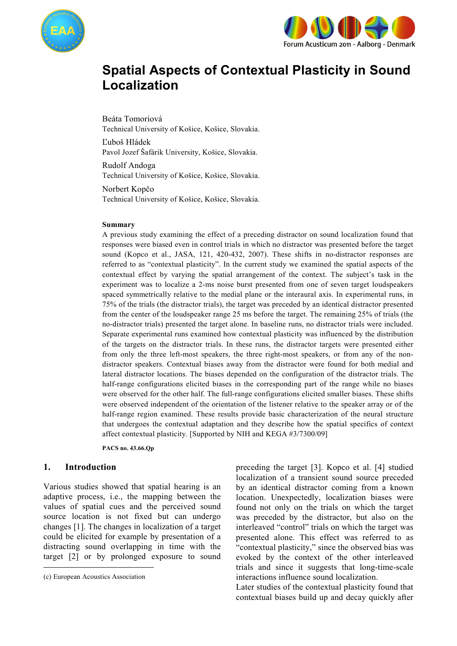



# **Spatial Aspects of Contextual Plasticity in Sound Localization**

Beáta Tomoriová Technical University of Košice, Košice, Slovakia.

Ľuboš Hládek Pavol Jozef Šafárik University, Košice, Slovakia.

Rudolf Andoga Technical University of Košice, Košice, Slovakia.

Norbert Kopčo Technical University of Košice, Košice, Slovakia.

#### **Summary**

A previous study examining the effect of a preceding distractor on sound localization found that responses were biased even in control trials in which no distractor was presented before the target sound (Kopco et al., JASA, 121, 420-432, 2007). These shifts in no-distractor responses are referred to as "contextual plasticity". In the current study we examined the spatial aspects of the contextual effect by varying the spatial arrangement of the context. The subject's task in the experiment was to localize a 2-ms noise burst presented from one of seven target loudspeakers spaced symmetrically relative to the medial plane or the interaural axis. In experimental runs, in 75% of the trials (the distractor trials), the target was preceded by an identical distractor presented from the center of the loudspeaker range 25 ms before the target. The remaining 25% of trials (the no-distractor trials) presented the target alone. In baseline runs, no distractor trials were included. Separate experimental runs examined how contextual plasticity was influenced by the distribution of the targets on the distractor trials. In these runs, the distractor targets were presented either from only the three left-most speakers, the three right-most speakers, or from any of the nondistractor speakers. Contextual biases away from the distractor were found for both medial and lateral distractor locations. The biases depended on the configuration of the distractor trials. The half-range configurations elicited biases in the corresponding part of the range while no biases were observed for the other half. The full-range configurations elicited smaller biases. These shifts were observed independent of the orientation of the listener relative to the speaker array or of the half-range region examined. These results provide basic characterization of the neural structure that undergoes the contextual adaptation and they describe how the spatial specifics of context affect contextual plasticity. [Supported by NIH and KEGA #3/7300/09]

**PACS no. 43.66.Qp** 

#### **1. Introduction<sup>1</sup>**

Various studies showed that spatial hearing is an adaptive process, i.e., the mapping between the values of spatial cues and the perceived sound source location is not fixed but can undergo changes [1]. The changes in localization of a target could be elicited for example by presentation of a distracting sound overlapping in time with the target [2] or by prolonged exposure to sound

-

preceding the target [3]. Kopco et al. [4] studied localization of a transient sound source preceded by an identical distractor coming from a known location. Unexpectedly, localization biases were found not only on the trials on which the target was preceded by the distractor, but also on the interleaved "control" trials on which the target was presented alone. This effect was referred to as "contextual plasticity," since the observed bias was evoked by the context of the other interleaved trials and since it suggests that long-time-scale interactions influence sound localization.

Later studies of the contextual plasticity found that contextual biases build up and decay quickly after

<sup>1</sup> (c) European Acoustics Association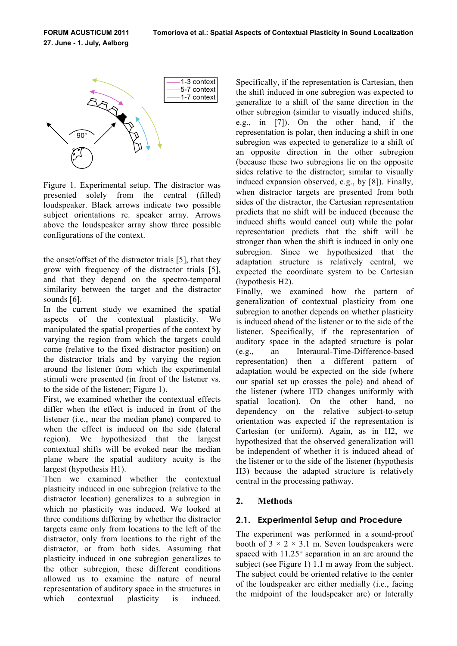

Figure 1. Experimental setup. The distractor was presented solely from the central (filled) loudspeaker. Black arrows indicate two possible subject orientations re. speaker array. Arrows above the loudspeaker array show three possible configurations of the context.

the onset/offset of the distractor trials [5], that they grow with frequency of the distractor trials [5], and that they depend on the spectro-temporal similarity between the target and the distractor sounds [6].

In the current study we examined the spatial aspects of the contextual plasticity. We manipulated the spatial properties of the context by varying the region from which the targets could come (relative to the fixed distractor position) on the distractor trials and by varying the region around the listener from which the experimental stimuli were presented (in front of the listener vs. to the side of the listener; Figure 1).

First, we examined whether the contextual effects differ when the effect is induced in front of the listener (i.e., near the median plane) compared to when the effect is induced on the side (lateral region). We hypothesized that the largest contextual shifts will be evoked near the median plane where the spatial auditory acuity is the largest (hypothesis H1).

Then we examined whether the contextual plasticity induced in one subregion (relative to the distractor location) generalizes to a subregion in which no plasticity was induced. We looked at three conditions differing by whether the distractor targets came only from locations to the left of the distractor, only from locations to the right of the distractor, or from both sides. Assuming that plasticity induced in one subregion generalizes to the other subregion, these different conditions allowed us to examine the nature of neural representation of auditory space in the structures in which contextual plasticity is induced.

Specifically, if the representation is Cartesian, then the shift induced in one subregion was expected to generalize to a shift of the same direction in the other subregion (similar to visually induced shifts, e.g., in [7]). On the other hand, if the representation is polar, then inducing a shift in one subregion was expected to generalize to a shift of an opposite direction in the other subregion (because these two subregions lie on the opposite sides relative to the distractor; similar to visually induced expansion observed, e.g., by [8]). Finally, when distractor targets are presented from both sides of the distractor, the Cartesian representation predicts that no shift will be induced (because the induced shifts would cancel out) while the polar representation predicts that the shift will be stronger than when the shift is induced in only one subregion. Since we hypothesized that the adaptation structure is relatively central, we expected the coordinate system to be Cartesian (hypothesis H2).

Finally, we examined how the pattern of generalization of contextual plasticity from one subregion to another depends on whether plasticity is induced ahead of the listener or to the side of the listener. Specifically, if the representation of auditory space in the adapted structure is polar (e.g., an Interaural-Time-Difference-based representation) then a different pattern of adaptation would be expected on the side (where our spatial set up crosses the pole) and ahead of the listener (where ITD changes uniformly with spatial location). On the other hand, no dependency on the relative subject-to-setup orientation was expected if the representation is Cartesian (or uniform). Again, as in H2, we hypothesized that the observed generalization will be independent of whether it is induced ahead of the listener or to the side of the listener (hypothesis H3) because the adapted structure is relatively central in the processing pathway.

## **2. Methods**

## **2.1. Experimental Setup and Procedure**

The experiment was performed in a sound-proof booth of  $3 \times 2 \times 3.1$  m. Seven loudspeakers were spaced with 11.25° separation in an arc around the subject (see Figure 1) 1.1 m away from the subject. The subject could be oriented relative to the center of the loudspeaker arc either medially (i.e., facing the midpoint of the loudspeaker arc) or laterally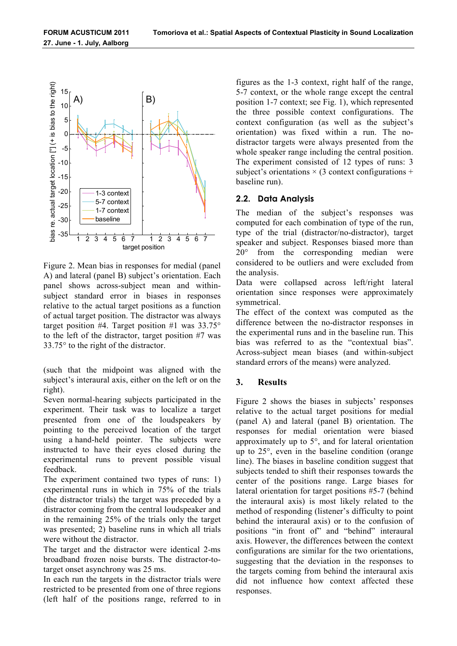

Figure 2. Mean bias in responses for medial (panel A) and lateral (panel B) subject's orientation. Each panel shows across-subject mean and withinsubject standard error in biases in responses relative to the actual target positions as a function of actual target position. The distractor was always target position #4. Target position #1 was  $33.75^{\circ}$ to the left of the distractor, target position #7 was 33.75° to the right of the distractor.

(such that the midpoint was aligned with the subject's interaural axis, either on the left or on the right).

Seven normal-hearing subjects participated in the experiment. Their task was to localize a target presented from one of the loudspeakers by pointing to the perceived location of the target using a hand-held pointer. The subjects were instructed to have their eyes closed during the experimental runs to prevent possible visual feedback.

The experiment contained two types of runs: 1) experimental runs in which in 75% of the trials (the distractor trials) the target was preceded by a distractor coming from the central loudspeaker and in the remaining 25% of the trials only the target was presented; 2) baseline runs in which all trials were without the distractor.

The target and the distractor were identical 2-ms broadband frozen noise bursts. The distractor-totarget onset asynchrony was 25 ms.

In each run the targets in the distractor trials were restricted to be presented from one of three regions (left half of the positions range, referred to in

figures as the 1-3 context, right half of the range, 5-7 context, or the whole range except the central position 1-7 context; see Fig. 1), which represented the three possible context configurations. The context configuration (as well as the subject's orientation) was fixed within a run. The nodistractor targets were always presented from the whole speaker range including the central position. The experiment consisted of 12 types of runs: 3 subject's orientations  $\times$  (3 context configurations + baseline run).

## **2.2. Data Analysis**

The median of the subject's responses was computed for each combination of type of the run, type of the trial (distractor/no-distractor), target speaker and subject. Responses biased more than 20° from the corresponding median were considered to be outliers and were excluded from the analysis.

Data were collapsed across left/right lateral orientation since responses were approximately symmetrical.

The effect of the context was computed as the difference between the no-distractor responses in the experimental runs and in the baseline run. This bias was referred to as the "contextual bias". Across-subject mean biases (and within-subject standard errors of the means) were analyzed.

## **3. Results**

Figure 2 shows the biases in subjects' responses relative to the actual target positions for medial (panel A) and lateral (panel B) orientation. The responses for medial orientation were biased approximately up to 5°, and for lateral orientation up to 25°, even in the baseline condition (orange line). The biases in baseline condition suggest that subjects tended to shift their responses towards the center of the positions range. Large biases for lateral orientation for target positions #5-7 (behind the interaural axis) is most likely related to the method of responding (listener's difficulty to point behind the interaural axis) or to the confusion of positions "in front of" and "behind" interaural axis. However, the differences between the context configurations are similar for the two orientations, suggesting that the deviation in the responses to the targets coming from behind the interaural axis did not influence how context affected these responses.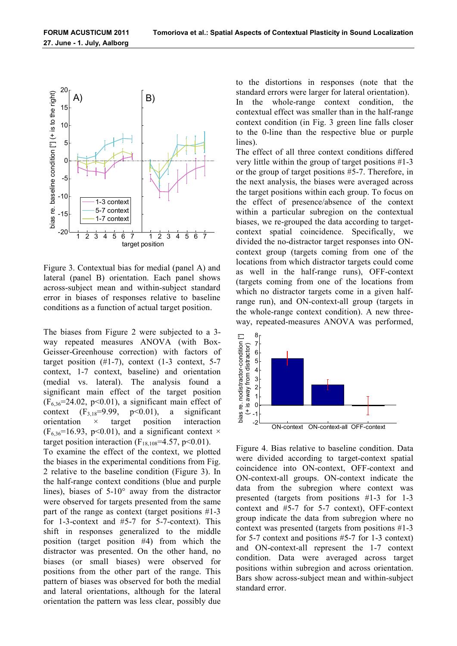

Figure 3. Contextual bias for medial (panel A) and lateral (panel B) orientation. Each panel shows across-subject mean and within-subject standard error in biases of responses relative to baseline conditions as a function of actual target position.

The biases from Figure 2 were subjected to a 3 way repeated measures ANOVA (with Box-Geisser-Greenhouse correction) with factors of target position  $(\#1-7)$ , context  $(1-3 \text{ context}, 5-7)$ context, 1-7 context, baseline) and orientation (medial vs. lateral). The analysis found a significant main effect of the target position  $(F_{6,36}=24.02, p<0.01)$ , a significant main effect of context  $(F_{3,18}=9.99, p<0.01)$ , a significant context  $(F_{3,18}=9.99, p<0.01)$ , a orientation × target position interaction  $(F_{6,36}=16.93, p<0.01)$ , and a significant context  $\times$ target position interaction ( $F_{18,108}$ =4.57, p<0.01).

To examine the effect of the context, we plotted the biases in the experimental conditions from Fig. 2 relative to the baseline condition (Figure 3). In the half-range context conditions (blue and purple lines), biases of 5-10° away from the distractor were observed for targets presented from the same part of the range as context (target positions #1-3 for 1-3-context and #5-7 for 5-7-context). This shift in responses generalized to the middle position (target position #4) from which the distractor was presented. On the other hand, no biases (or small biases) were observed for positions from the other part of the range. This pattern of biases was observed for both the medial and lateral orientations, although for the lateral orientation the pattern was less clear, possibly due

to the distortions in responses (note that the standard errors were larger for lateral orientation).

In the whole-range context condition, the contextual effect was smaller than in the half-range context condition (in Fig. 3 green line falls closer to the 0-line than the respective blue or purple lines).

The effect of all three context conditions differed very little within the group of target positions #1-3 or the group of target positions #5-7. Therefore, in the next analysis, the biases were averaged across the target positions within each group. To focus on the effect of presence/absence of the context within a particular subregion on the contextual biases, we re-grouped the data according to targetcontext spatial coincidence. Specifically, we divided the no-distractor target responses into ONcontext group (targets coming from one of the locations from which distractor targets could come as well in the half-range runs), OFF-context (targets coming from one of the locations from which no distractor targets come in a given halfrange run), and ON-context-all group (targets in the whole-range context condition). A new threeway, repeated-measures ANOVA was performed,



Figure 4. Bias relative to baseline condition. Data were divided according to target-context spatial coincidence into ON-context, OFF-context and ON-context-all groups. ON-context indicate the data from the subregion where context was presented (targets from positions #1-3 for 1-3 context and #5-7 for 5-7 context), OFF-context group indicate the data from subregion where no context was presented (targets from positions #1-3 for 5-7 context and positions #5-7 for 1-3 context) and ON-context-all represent the 1-7 context condition. Data were averaged across target positions within subregion and across orientation. Bars show across-subject mean and within-subject standard error.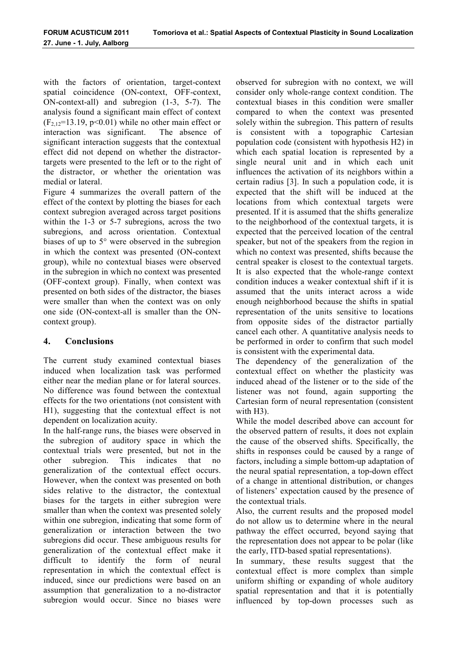with the factors of orientation, target-context spatial coincidence (ON-context, OFF-context, ON-context-all) and subregion (1-3, 5-7). The analysis found a significant main effect of context  $(F_{2,12}=13.19, p<0.01)$  while no other main effect or interaction was significant. The absence of significant interaction suggests that the contextual effect did not depend on whether the distractortargets were presented to the left or to the right of the distractor, or whether the orientation was medial or lateral.

Figure 4 summarizes the overall pattern of the effect of the context by plotting the biases for each context subregion averaged across target positions within the 1-3 or 5-7 subregions, across the two subregions, and across orientation. Contextual biases of up to 5° were observed in the subregion in which the context was presented (ON-context group), while no contextual biases were observed in the subregion in which no context was presented (OFF-context group). Finally, when context was presented on both sides of the distractor, the biases were smaller than when the context was on only one side (ON-context-all is smaller than the ONcontext group).

## **4. Conclusions**

The current study examined contextual biases induced when localization task was performed either near the median plane or for lateral sources. No difference was found between the contextual effects for the two orientations (not consistent with H1), suggesting that the contextual effect is not dependent on localization acuity.

In the half-range runs, the biases were observed in the subregion of auditory space in which the contextual trials were presented, but not in the other subregion. This indicates that no generalization of the contextual effect occurs. However, when the context was presented on both sides relative to the distractor, the contextual biases for the targets in either subregion were smaller than when the context was presented solely within one subregion, indicating that some form of generalization or interaction between the two subregions did occur. These ambiguous results for generalization of the contextual effect make it difficult to identify the form of neural representation in which the contextual effect is induced, since our predictions were based on an assumption that generalization to a no-distractor subregion would occur. Since no biases were

observed for subregion with no context, we will consider only whole-range context condition. The contextual biases in this condition were smaller compared to when the context was presented solely within the subregion. This pattern of results is consistent with a topographic Cartesian population code (consistent with hypothesis H2) in which each spatial location is represented by a single neural unit and in which each unit influences the activation of its neighbors within a certain radius [3]. In such a population code, it is expected that the shift will be induced at the locations from which contextual targets were presented. If it is assumed that the shifts generalize to the neighborhood of the contextual targets, it is expected that the perceived location of the central speaker, but not of the speakers from the region in which no context was presented, shifts because the central speaker is closest to the contextual targets. It is also expected that the whole-range context condition induces a weaker contextual shift if it is assumed that the units interact across a wide enough neighborhood because the shifts in spatial representation of the units sensitive to locations from opposite sides of the distractor partially cancel each other. A quantitative analysis needs to be performed in order to confirm that such model is consistent with the experimental data.

The dependency of the generalization of the contextual effect on whether the plasticity was induced ahead of the listener or to the side of the listener was not found, again supporting the Cartesian form of neural representation (consistent with H3).

While the model described above can account for the observed pattern of results, it does not explain the cause of the observed shifts. Specifically, the shifts in responses could be caused by a range of factors, including a simple bottom-up adaptation of the neural spatial representation, a top-down effect of a change in attentional distribution, or changes of listeners' expectation caused by the presence of the contextual trials.

Also, the current results and the proposed model do not allow us to determine where in the neural pathway the effect occurred, beyond saying that the representation does not appear to be polar (like the early, ITD-based spatial representations).

In summary, these results suggest that the contextual effect is more complex than simple uniform shifting or expanding of whole auditory spatial representation and that it is potentially influenced by top-down processes such as